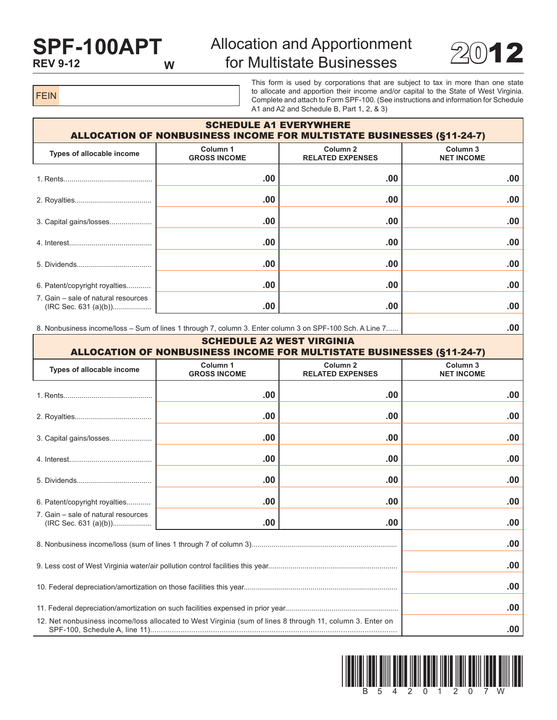## **SPF-100APT REV 9-12**

## Allocation and Apportionment for Multistate Businesses  $2012$



FEIN

This form is used by corporations that are subject to tax in more than one state to allocate and apportion their income and/or capital to the State of West Virginia. Complete and attach to Form SPF-100. (See instructions and information for Schedule A1 and A2 and Schedule B, Part 1, 2, & 3)

| <b>SCHEDULE A1 EVERYWHERE</b><br><b>ALLOCATION OF NONBUSINESS INCOME FOR MULTISTATE BUSINESSES (§11-24-7)</b> |                                 |                                                |                                          |  |  |
|---------------------------------------------------------------------------------------------------------------|---------------------------------|------------------------------------------------|------------------------------------------|--|--|
| Types of allocable income                                                                                     | Column 1<br><b>GROSS INCOME</b> | Column <sub>2</sub><br><b>RELATED EXPENSES</b> | Column <sub>3</sub><br><b>NET INCOME</b> |  |  |
|                                                                                                               | .00                             | .00                                            | .00                                      |  |  |
|                                                                                                               | .00                             | .00                                            | .00                                      |  |  |
| 3. Capital gains/losses                                                                                       | .00                             | .00                                            | .00.                                     |  |  |
|                                                                                                               | .00                             | .00                                            | .00                                      |  |  |
|                                                                                                               | .00                             | .00                                            | .00.                                     |  |  |
| 6. Patent/copyright royalties                                                                                 | .00                             | .00                                            | .00.                                     |  |  |
| 7. Gain – sale of natural resources                                                                           | .00                             | .00                                            | .00                                      |  |  |

8. Nonbusiness income/loss – Sum of lines 1 through 7, column 3. Enter column 3 on SPF-100 Sch. A Line 7...... **.00**

| <b>SCHEDULE A2 WEST VIRGINIA</b><br><b>ALLOCATION OF NONBUSINESS INCOME FOR MULTISTATE BUSINESSES (§11-24-7)</b> |                                            |                                                |                               |  |  |
|------------------------------------------------------------------------------------------------------------------|--------------------------------------------|------------------------------------------------|-------------------------------|--|--|
| Types of allocable income                                                                                        | Column <sub>1</sub><br><b>GROSS INCOME</b> | Column <sub>2</sub><br><b>RELATED EXPENSES</b> | Column 3<br><b>NET INCOME</b> |  |  |
|                                                                                                                  | .00                                        | .00                                            | .00                           |  |  |
|                                                                                                                  | .00                                        | .00                                            | .00                           |  |  |
| 3. Capital gains/losses                                                                                          | .00.                                       | .00                                            | .00                           |  |  |
|                                                                                                                  | .00                                        | .00                                            | .00                           |  |  |
|                                                                                                                  | .00.                                       | .00                                            | .00                           |  |  |
| 6. Patent/copyright royalties                                                                                    | .00                                        | .00                                            | .00                           |  |  |
| 7. Gain – sale of natural resources                                                                              | .00.                                       | .00                                            | .00                           |  |  |
|                                                                                                                  | .00                                        |                                                |                               |  |  |
|                                                                                                                  | .00                                        |                                                |                               |  |  |
|                                                                                                                  | .00                                        |                                                |                               |  |  |
|                                                                                                                  | .00                                        |                                                |                               |  |  |
| 12. Net nonbusiness income/loss allocated to West Virginia (sum of lines 8 through 11, column 3. Enter on        |                                            |                                                |                               |  |  |